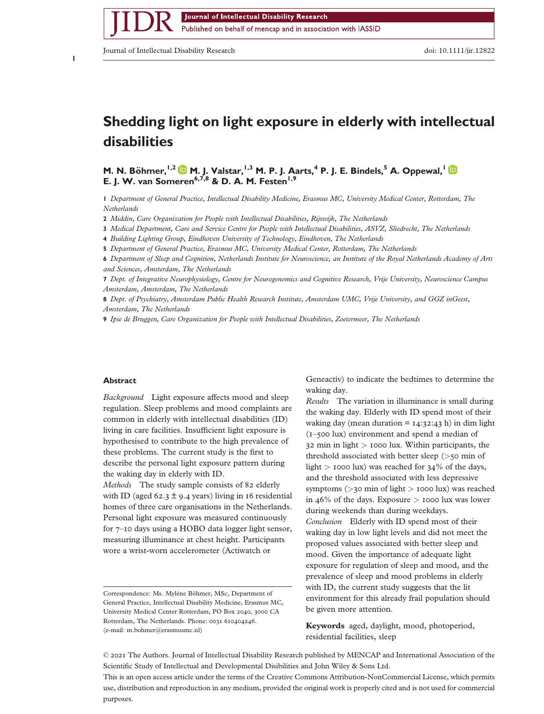Journal of Intellectual Disability Research doi: 10.1111/jir.12822

**1**

bs\_bs\_banner

# **Shedding light on light exposure in elderly with intellectual disabilities**

**M. N. Böhmer,**<sup>1,2</sup> **M. J. Valstar,**<sup>1,3</sup> **M. P. J. Aarts,**<sup>4</sup> **P. J. E. Bindels,**<sup>5</sup> **A. Oppewal,**<sup>1</sup> **D E. J. W. van Someren6,7,8 & D. A. M. Festen1,9**

**1** *Department of General Practice, Intellectual Disability Medicine, Erasmus MC, University Medical Center, Rotterdam, The Netherlands*

**2** *Middin, Care Organization for People with Intellectual Disabilities, Rijswijk, The Netherlands*

**3** *Medical Department, Care and Service Centre for People with Intellectual Disabilities, ASVZ, Sliedrecht, The Netherlands*

**4** *Building Lighting Group, Eindhoven University of Technology, Eindhoven, The Netherlands*

**5** *Department of General Practice, Erasmus MC, University Medical Center, Rotterdam, The Netherlands*

**6** *Department of Sleep and Cognition, Netherlands Institute for Neuroscience, an Institute of the Royal Netherlands Academy of Arts and Sciences, Amsterdam, The Netherlands*

**7** *Dept. of Integrative Neurophysiology, Centre for Neurogenomics and Cognitive Research, Vrije University, Neuroscience Campus Amsterdam, Amsterdam, The Netherlands*

**8** *Dept. of Psychiatry, Amsterdam Public Health Research Institute, Amsterdam UMC, Vrije University, and GGZ inGeest, Amsterdam, The Netherlands*

**9** *Ipse de Bruggen, Care Organization for People with Intellectual Disabilities, Zoetermeer, The Netherlands*

#### **Abstract**

*Background* Light exposure affects mood and sleep regulation. Sleep problems and mood complaints are common in elderly with intellectual disabilities (ID) living in care facilities. Insufficient light exposure is hypothesised to contribute to the high prevalence of these problems. The current study is the first to describe the personal light exposure pattern during the waking day in elderly with ID. *Methods* The study sample consists of 82 elderly with ID (aged 62.3  $\pm$  9.4 years) living in 16 residential homes of three care organisations in the Netherlands. Personal light exposure was measured continuously for 7–10 days using a HOBO data logger light sensor, measuring illuminance at chest height. Participants

wore a wrist-worn accelerometer (Actiwatch or

Correspondence: Ms. Mylène Böhmer, MSc, Department of General Practice, Intellectual Disability Medicine, Erasmus MC, University Medical Center Rotterdam, PO Box 2040, 3000 CA Rotterdam, The Netherlands. Phone: 0031 610404246. (e-mail: [m.bohmer@erasmusmc.nl\)](mailto:m.bohmer@erasmusmc.nl)

Geneactiv) to indicate the bedtimes to determine the waking day.

*Results* The variation in illuminance is small during the waking day. Elderly with ID spend most of their waking day (mean duration  $= 14:32:43$  h) in dim light (1–500 lux) environment and spend a median of 32 min in light *>* 1000 lux. Within participants, the threshold associated with better sleep (*>*50 min of light *>* 1000 lux) was reached for 34% of the days, and the threshold associated with less depressive symptoms (*>*30 min of light *>* 1000 lux) was reached in 46% of the days. Exposure *>* 1000 lux was lower during weekends than during weekdays. *Conclusion* Elderly with ID spend most of their waking day in low light levels and did not meet the proposed values associated with better sleep and mood. Given the importance of adequate light exposure for regulation of sleep and mood, and the prevalence of sleep and mood problems in elderly with ID, the current study suggests that the lit environment for this already frail population should be given more attention.

**Keywords** aged, daylight, mood, photoperiod, residential facilities, sleep

This is an open access article under the terms of the [Creative Commons Attribution-NonCommercial](http://creativecommons.org/licenses/by-nc/4.0/) License, which permits use, distribution and reproduction in any medium, provided the original work is properly cited and is not used for commercial purposes.

<sup>©</sup> 2021 The Authors. Journal of Intellectual Disability Research published by MENCAP and International Association of the Scientific Study of Intellectual and Developmental Disibilities and John Wiley & Sons Ltd.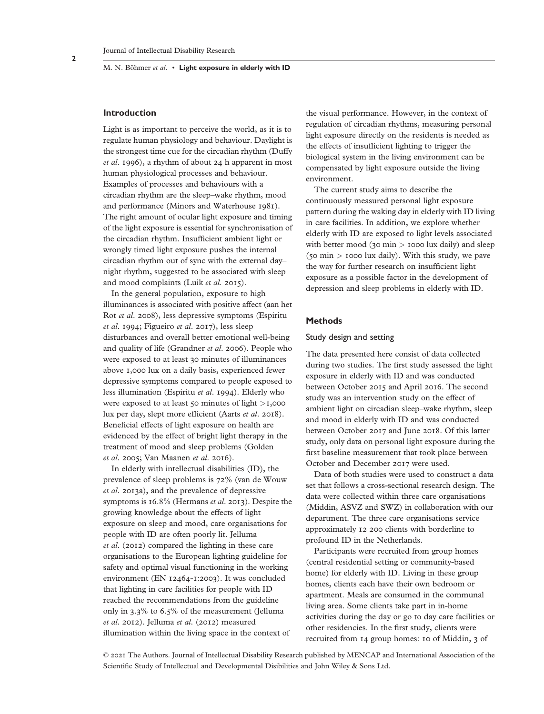## **Introduction**

Light is as important to perceive the world, as it is to regulate human physiology and behaviour. Daylight is the strongest time cue for the circadian rhythm (Duffy *et al*. 1996), a rhythm of about 24 h apparent in most human physiological processes and behaviour. Examples of processes and behaviours with a circadian rhythm are the sleep–wake rhythm, mood and performance (Minors and Waterhouse 1981). The right amount of ocular light exposure and timing of the light exposure is essential for synchronisation of the circadian rhythm. Insufficient ambient light or wrongly timed light exposure pushes the internal circadian rhythm out of sync with the external day– night rhythm, suggested to be associated with sleep and mood complaints (Luik *et al*. 2015).

In the general population, exposure to high illuminances is associated with positive affect (aan het Rot *et al*. 2008), less depressive symptoms (Espiritu *et al*. 1994; Figueiro *et al*. 2017), less sleep disturbances and overall better emotional well-being and quality of life (Grandner *et al*. 2006). People who were exposed to at least 30 minutes of illuminances above 1,000 lux on a daily basis, experienced fewer depressive symptoms compared to people exposed to less illumination (Espiritu *et al*. 1994). Elderly who were exposed to at least 50 minutes of light *>*1,000 lux per day, slept more efficient (Aarts *et al*. 2018). Beneficial effects of light exposure on health are evidenced by the effect of bright light therapy in the treatment of mood and sleep problems (Golden *et al*. 2005; Van Maanen *et al*. 2016).

In elderly with intellectual disabilities (ID), the prevalence of sleep problems is 72% (van de Wouw *et al*. 2013a), and the prevalence of depressive symptoms is 16.8% (Hermans *et al*. 2013). Despite the growing knowledge about the effects of light exposure on sleep and mood, care organisations for people with ID are often poorly lit. Jelluma *et al*. (2012) compared the lighting in these care organisations to the European lighting guideline for safety and optimal visual functioning in the working environment (EN 12464-1:2003). It was concluded that lighting in care facilities for people with ID reached the recommendations from the guideline only in 3.3% to 6.5% of the measurement (Jelluma *et al*. 2012). Jelluma *et al*. (2012) measured illumination within the living space in the context of

the visual performance. However, in the context of regulation of circadian rhythms, measuring personal light exposure directly on the residents is needed as the effects of insufficient lighting to trigger the biological system in the living environment can be compensated by light exposure outside the living environment.

The current study aims to describe the continuously measured personal light exposure pattern during the waking day in elderly with ID living in care facilities. In addition, we explore whether elderly with ID are exposed to light levels associated with better mood (30 min > 1000 lux daily) and sleep (50 min *>* 1000 lux daily). With this study, we pave the way for further research on insufficient light exposure as a possible factor in the development of depression and sleep problems in elderly with ID.

## **Methods**

# Study design and setting

The data presented here consist of data collected during two studies. The first study assessed the light exposure in elderly with ID and was conducted between October 2015 and April 2016. The second study was an intervention study on the effect of ambient light on circadian sleep–wake rhythm, sleep and mood in elderly with ID and was conducted between October 2017 and June 2018. Of this latter study, only data on personal light exposure during the first baseline measurement that took place between October and December 2017 were used.

Data of both studies were used to construct a data set that follows a cross-sectional research design. The data were collected within three care organisations (Middin, ASVZ and SWZ) in collaboration with our department. The three care organisations service approximately 12 200 clients with borderline to profound ID in the Netherlands.

Participants were recruited from group homes (central residential setting or community-based home) for elderly with ID. Living in these group homes, clients each have their own bedroom or apartment. Meals are consumed in the communal living area. Some clients take part in in-home activities during the day or go to day care facilities or other residencies. In the first study, clients were recruited from 14 group homes: 10 of Middin, 3 of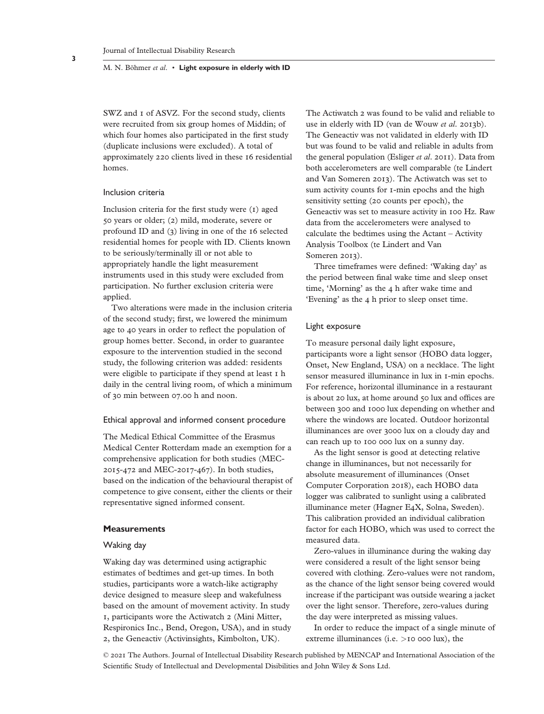SWZ and 1 of ASVZ. For the second study, clients were recruited from six group homes of Middin; of which four homes also participated in the first study (duplicate inclusions were excluded). A total of approximately 220 clients lived in these 16 residential homes.

## Inclusion criteria

Inclusion criteria for the first study were (1) aged 50 years or older; (2) mild, moderate, severe or profound ID and (3) living in one of the 16 selected residential homes for people with ID. Clients known to be seriously/terminally ill or not able to appropriately handle the light measurement instruments used in this study were excluded from participation. No further exclusion criteria were applied.

Two alterations were made in the inclusion criteria of the second study; first, we lowered the minimum age to 40 years in order to reflect the population of group homes better. Second, in order to guarantee exposure to the intervention studied in the second study, the following criterion was added: residents were eligible to participate if they spend at least 1 h daily in the central living room, of which a minimum of 30 min between 07.00 h and noon.

## Ethical approval and informed consent procedure

The Medical Ethical Committee of the Erasmus Medical Center Rotterdam made an exemption for a comprehensive application for both studies (MEC-2015-472 and MEC-2017-467). In both studies, based on the indication of the behavioural therapist of competence to give consent, either the clients or their representative signed informed consent.

# **Measurements**

## Waking day

Waking day was determined using actigraphic estimates of bedtimes and get-up times. In both studies, participants wore a watch-like actigraphy device designed to measure sleep and wakefulness based on the amount of movement activity. In study 1, participants wore the Actiwatch 2 (Mini Mitter, Respironics Inc., Bend, Oregon, USA), and in study 2, the Geneactiv (Activinsights, Kimbolton, UK).

The Actiwatch 2 was found to be valid and reliable to use in elderly with ID (van de Wouw *et al*. 2013b). The Geneactiv was not validated in elderly with ID but was found to be valid and reliable in adults from the general population (Esliger *et al*. 2011). Data from both accelerometers are well comparable (te Lindert and Van Someren 2013). The Actiwatch was set to sum activity counts for 1-min epochs and the high sensitivity setting (20 counts per epoch), the Geneactiv was set to measure activity in 100 Hz. Raw data from the accelerometers were analysed to calculate the bedtimes using the Actant – Activity Analysis Toolbox (te Lindert and Van Someren 2013).

Three timeframes were defined: 'Waking day' as the period between final wake time and sleep onset time, 'Morning' as the 4 h after wake time and 'Evening' as the 4 h prior to sleep onset time.

## Light exposure

To measure personal daily light exposure, participants wore a light sensor (HOBO data logger, Onset, New England, USA) on a necklace. The light sensor measured illuminance in lux in 1-min epochs. For reference, horizontal illuminance in a restaurant is about 20 lux, at home around 50 lux and offices are between 300 and 1000 lux depending on whether and where the windows are located. Outdoor horizontal illuminances are over 3000 lux on a cloudy day and can reach up to 100 000 lux on a sunny day.

As the light sensor is good at detecting relative change in illuminances, but not necessarily for absolute measurement of illuminances (Onset Computer Corporation 2018), each HOBO data logger was calibrated to sunlight using a calibrated illuminance meter (Hagner E4X, Solna, Sweden). This calibration provided an individual calibration factor for each HOBO, which was used to correct the measured data.

Zero-values in illuminance during the waking day were considered a result of the light sensor being covered with clothing. Zero-values were not random, as the chance of the light sensor being covered would increase if the participant was outside wearing a jacket over the light sensor. Therefore, zero-values during the day were interpreted as missing values.

In order to reduce the impact of a single minute of extreme illuminances (i.e. *>*10 000 lux), the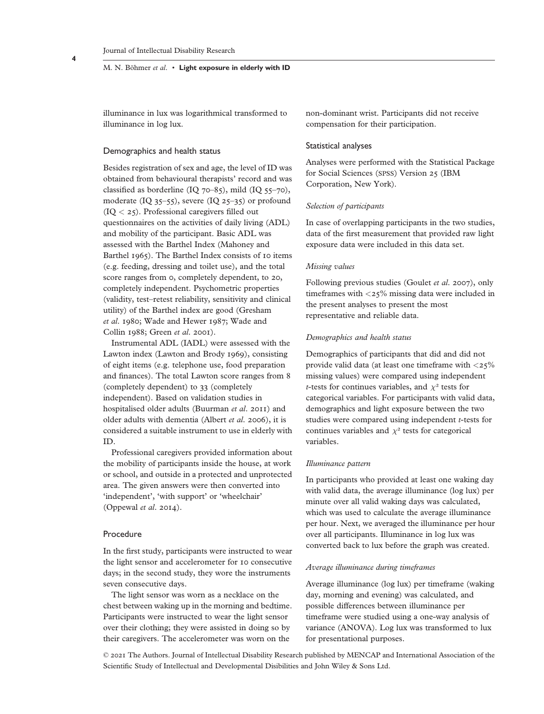illuminance in lux was logarithmical transformed to illuminance in log lux.

## Demographics and health status

Besides registration of sex and age, the level of ID was obtained from behavioural therapists' record and was classified as borderline  $(IQ 70-85)$ , mild  $(IQ 55-70)$ , moderate (IQ 35–55), severe (IQ 25–35) or profound (IQ *<* 25). Professional caregivers filled out questionnaires on the activities of daily living (ADL) and mobility of the participant. Basic ADL was assessed with the Barthel Index (Mahoney and Barthel 1965). The Barthel Index consists of 10 items (e.g. feeding, dressing and toilet use), and the total score ranges from 0, completely dependent, to 20, completely independent. Psychometric properties (validity, test–retest reliability, sensitivity and clinical utility) of the Barthel index are good (Gresham *et al*. 1980; Wade and Hewer 1987; Wade and Collin 1988; Green *et al*. 2001).

Instrumental ADL (IADL) were assessed with the Lawton index (Lawton and Brody 1969), consisting of eight items (e.g. telephone use, food preparation and finances). The total Lawton score ranges from 8 (completely dependent) to 33 (completely independent). Based on validation studies in hospitalised older adults (Buurman *et al*. 2011) and older adults with dementia (Albert *et al*. 2006), it is considered a suitable instrument to use in elderly with ID.

Professional caregivers provided information about the mobility of participants inside the house, at work or school, and outside in a protected and unprotected area. The given answers were then converted into 'independent', 'with support' or 'wheelchair' (Oppewal *et al*. 2014).

## Procedure

In the first study, participants were instructed to wear the light sensor and accelerometer for 10 consecutive days; in the second study, they wore the instruments seven consecutive days.

The light sensor was worn as a necklace on the chest between waking up in the morning and bedtime. Participants were instructed to wear the light sensor over their clothing; they were assisted in doing so by their caregivers. The accelerometer was worn on the

non-dominant wrist. Participants did not receive compensation for their participation.

## Statistical analyses

Analyses were performed with the Statistical Package for Social Sciences (SPSS) Version 25 (IBM Corporation, New York).

#### *Selection of participants*

In case of overlapping participants in the two studies, data of the first measurement that provided raw light exposure data were included in this data set.

#### *Missing values*

Following previous studies (Goulet *et al*. 2007), only timeframes with *<*25% missing data were included in the present analyses to present the most representative and reliable data.

# *Demographics and health status*

Demographics of participants that did and did not provide valid data (at least one timeframe with *<*25% missing values) were compared using independent *t*-tests for continues variables, and  $\chi^2$  tests for categorical variables. For participants with valid data, demographics and light exposure between the two studies were compared using independent *t*-tests for continues variables and  $\chi^2$  tests for categorical variables.

## *Illuminance pattern*

In participants who provided at least one waking day with valid data, the average illuminance (log lux) per minute over all valid waking days was calculated, which was used to calculate the average illuminance per hour. Next, we averaged the illuminance per hour over all participants. Illuminance in log lux was converted back to lux before the graph was created.

## *Average illuminance during timeframes*

Average illuminance (log lux) per timeframe (waking day, morning and evening) was calculated, and possible differences between illuminance per timeframe were studied using a one-way analysis of variance (ANOVA). Log lux was transformed to lux for presentational purposes.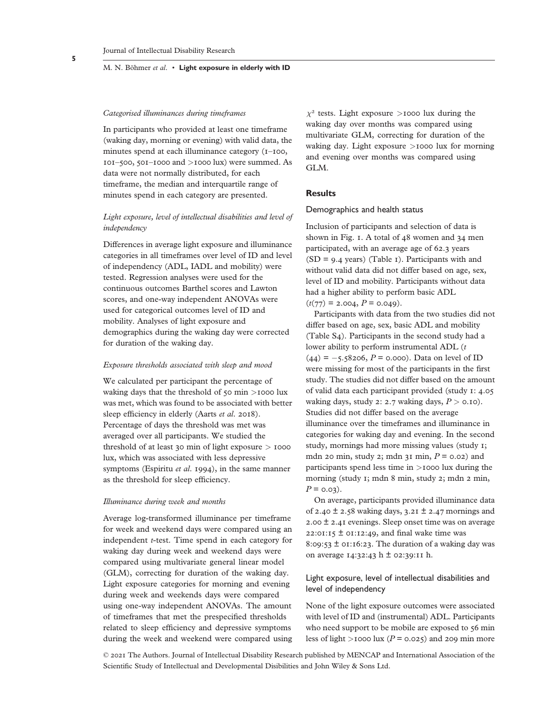#### *Categorised illuminances during timeframes*

In participants who provided at least one timeframe (waking day, morning or evening) with valid data, the minutes spend at each illuminance category (1–100, 101–500, 501–1000 and *>*1000 lux) were summed. As data were not normally distributed, for each timeframe, the median and interquartile range of minutes spend in each category are presented.

# *Light exposure, level of intellectual disabilities and level of independency*

Differences in average light exposure and illuminance categories in all timeframes over level of ID and level of independency (ADL, IADL and mobility) were tested. Regression analyses were used for the continuous outcomes Barthel scores and Lawton scores, and one-way independent ANOVAs were used for categorical outcomes level of ID and mobility. Analyses of light exposure and demographics during the waking day were corrected for duration of the waking day.

#### *Exposure thresholds associated with sleep and mood*

We calculated per participant the percentage of waking days that the threshold of 50 min *>*1000 lux was met, which was found to be associated with better sleep efficiency in elderly (Aarts *et al*. 2018). Percentage of days the threshold was met was averaged over all participants. We studied the threshold of at least 30 min of light exposure *>* 1000 lux, which was associated with less depressive symptoms (Espiritu *et al*. 1994), in the same manner as the threshold for sleep efficiency.

#### *Illuminance during week and months*

Average log-transformed illuminance per timeframe for week and weekend days were compared using an independent *t*-test. Time spend in each category for waking day during week and weekend days were compared using multivariate general linear model (GLM), correcting for duration of the waking day. Light exposure categories for morning and evening during week and weekends days were compared using one-way independent ANOVAs. The amount of timeframes that met the prespecified thresholds related to sleep efficiency and depressive symptoms during the week and weekend were compared using *χ*² tests. Light exposure *>*1000 lux during the waking day over months was compared using multivariate GLM, correcting for duration of the waking day. Light exposure *>*1000 lux for morning and evening over months was compared using GL<sub>M</sub>

## **Results**

# Demographics and health status

Inclusion of participants and selection of data is shown in Fig. 1. A total of 48 women and 34 men participated, with an average age of 62.3 years  $(SD = 9.4$  years) (Table 1). Participants with and without valid data did not differ based on age, sex, level of ID and mobility. Participants without data had a higher ability to perform basic ADL

 $(t(77) = 2.004, P = 0.049).$ 

Participants with data from the two studies did not differ based on age, sex, basic ADL and mobility (Table S4). Participants in the second study had a lower ability to perform instrumental ADL (*t*  $(44) = -5.58206$ ,  $P = 0.000$ ). Data on level of ID were missing for most of the participants in the first study. The studies did not differ based on the amount of valid data each participant provided (study 1: 4.05 waking days, study 2: 2.7 waking days,  $P > 0.10$ ). Studies did not differ based on the average illuminance over the timeframes and illuminance in categories for waking day and evening. In the second study, mornings had more missing values (study 1; mdn 20 min, study 2; mdn 31 min, *P* = 0.02) and participants spend less time in *>*1000 lux during the morning (study 1; mdn 8 min, study 2; mdn 2 min,  $P = 0.03$ .

On average, participants provided illuminance data of 2.40  $\pm$  2.58 waking days, 3.21  $\pm$  2.47 mornings and 2.00 ± 2.41 evenings. Sleep onset time was on average  $22:01:15 \pm 01:12:49$ , and final wake time was 8:09:53  $\pm$  01:16:23. The duration of a waking day was on average  $14:32:43 \text{ h} \pm 02:39:11 \text{ h}.$ 

# Light exposure, level of intellectual disabilities and level of independency

None of the light exposure outcomes were associated with level of ID and (instrumental) ADL. Participants who need support to be mobile are exposed to 56 min less of light  $>1000$  lux ( $P = 0.025$ ) and 209 min more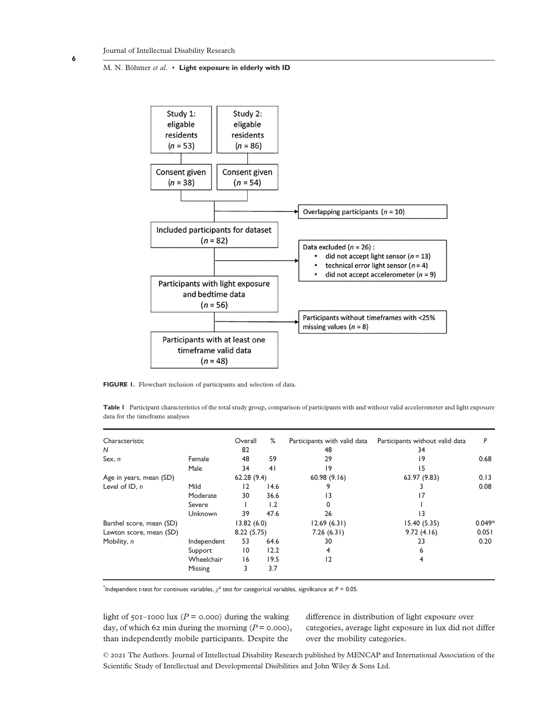

**FIGURE 1.** Flowchart inclusion of participants and selection of data.

**Table 1** Participant characteristics of the total study group, comparison of participants with and without valid accelerometer and light exposure data for the timeframe analyses

| Characteristic           |             | Overall         | %    | Participants with valid data | Participants without valid data | P        |
|--------------------------|-------------|-----------------|------|------------------------------|---------------------------------|----------|
| N                        |             | 82              |      | 48                           | 34                              |          |
| Sex, n                   | Female      | 48              | 59   | 29                           | 9                               | 0.68     |
|                          | Male        | 34              | 41   | 19                           | 15                              |          |
| Age in years, mean (SD)  |             | 62.28(9.4)      |      | 60.98(9.16)                  | 63.97 (9.83)                    | 0.13     |
| Level of $ID, n$         | Mild        | 12              | 14.6 | 9                            |                                 | 0.08     |
|                          | Moderate    | 30              | 36.6 | 13                           | 17                              |          |
|                          | Severe      |                 | 1.2  | 0                            |                                 |          |
|                          | Unknown     | 39              | 47.6 | 26                           | 13                              |          |
| Barthel score, mean (SD) |             | 13.82(6.0)      |      | 12.69(6.31)                  | 15.40(5.35)                     | $0.049*$ |
| Lawton score, mean (SD)  |             | 8.22(5.75)      |      | 7.26(6.31)                   | 9.72(4.16)                      | 0.051    |
| Mobility, n              | Independent | 53              | 64.6 | 30                           | 23                              | 0.20     |
|                          | Support     | $\overline{10}$ | 12.2 | 4                            | 6                               |          |
|                          | Wheelchair  | 16              | 19.5 | 12                           | 4                               |          |
|                          | Missing     | 3               | 3.7  |                              |                                 |          |

\* Independent *t*-test for continues variables, *χ*² test for categorical variables, significance at *P* = 0.05.

light of 501–1000 lux ( $P = 0.000$ ) during the waking day, of which 62 min during the morning  $(P = 0.000)$ , than independently mobile participants. Despite the

difference in distribution of light exposure over categories, average light exposure in lux did not differ over the mobility categories.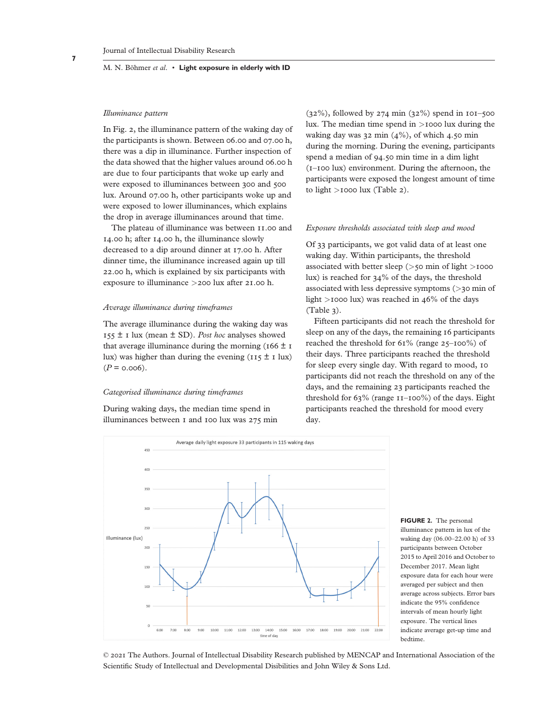#### Journal of Intellectual Disability Research

#### M. N. Böhmer *et al*. • **Light exposure in elderly with ID**

#### *Illuminance pattern*

In Fig. 2, the illuminance pattern of the waking day of the participants is shown. Between 06.00 and 07.00 h, there was a dip in illuminance. Further inspection of the data showed that the higher values around 06.00 h are due to four participants that woke up early and were exposed to illuminances between 300 and 500 lux. Around 07.00 h, other participants woke up and were exposed to lower illuminances, which explains the drop in average illuminances around that time.

The plateau of illuminance was between 11.00 and 14.00 h; after 14.00 h, the illuminance slowly decreased to a dip around dinner at 17.00 h. After dinner time, the illuminance increased again up till 22.00 h, which is explained by six participants with exposure to illuminance *>*200 lux after 21.00 h.

#### *Average illuminance during timeframes*

The average illuminance during the waking day was  $155 \pm 1$  lux (mean  $\pm$  SD). *Post hoc* analyses showed that average illuminance during the morning ( $166 \pm 1$ lux) was higher than during the evening ( $115 \pm 1$  lux)  $(P = 0.006)$ .

## *Categorised illuminance during timeframes*

During waking days, the median time spend in illuminances between 1 and 100 lux was 275 min  $(32\%)$ , followed by 274 min  $(32\%)$  spend in 101–500 lux. The median time spend in *>*1000 lux during the waking day was 32 min  $(4\%)$ , of which 4.50 min during the morning. During the evening, participants spend a median of 94.50 min time in a dim light (1–100 lux) environment. During the afternoon, the participants were exposed the longest amount of time to light *>*1000 lux (Table 2).

## *Exposure thresholds associated with sleep and mood*

Of 33 participants, we got valid data of at least one waking day. Within participants, the threshold associated with better sleep (*>*50 min of light *>*1000 lux) is reached for 34% of the days, the threshold associated with less depressive symptoms (*>*30 min of light *>*1000 lux) was reached in 46% of the days (Table 3).

Fifteen participants did not reach the threshold for sleep on any of the days, the remaining 16 participants reached the threshold for 61% (range 25–100%) of their days. Three participants reached the threshold for sleep every single day. With regard to mood, 10 participants did not reach the threshold on any of the days, and the remaining 23 participants reached the threshold for 63% (range 11–100%) of the days. Eight participants reached the threshold for mood every day.



**FIGURE 2.** The personal illuminance pattern in lux of the waking day (06.00–22.00 h) of 33 participants between October 2015 to April 2016 and October to December 2017. Mean light exposure data for each hour were averaged per subject and then average across subjects. Error bars indicate the 95% confidence intervals of mean hourly light exposure. The vertical lines indicate average get-up time and bedtime.

© 2021 The Authors. Journal of Intellectual Disability Research published by MENCAP and International Association of the Scientific Study of Intellectual and Developmental Disibilities and John Wiley & Sons Ltd.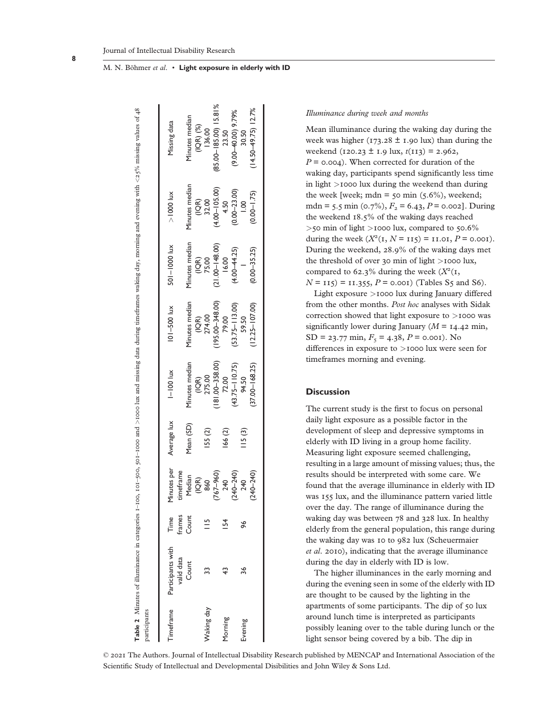| sarticipants   |                                 |                |                          |             |                                        |                                        |                                      |                                     | <b>Table 2</b> Minutes of illuminance in categories 1-100, 101-500, 501-1000 and >1000 lux and missing data during timeframes waking day, morning and evening with <25% missing values of 48 |
|----------------|---------------------------------|----------------|--------------------------|-------------|----------------------------------------|----------------------------------------|--------------------------------------|-------------------------------------|----------------------------------------------------------------------------------------------------------------------------------------------------------------------------------------------|
| imeframe       | Participants with<br>valid data | Time<br>frames | Minutes per<br>timeframe | Average lux | $I - 100$ lux                          | $ 01 - 500$ lux                        | 501-1000 lux                         | $> 1000$ lux                        | Missing data                                                                                                                                                                                 |
|                | Count                           | Count          | Median<br>(IQR)          | Mean (SD)   | Minutes median                         | Minutes median                         | Minutes median                       | Minutes median                      | Minutes median                                                                                                                                                                               |
| Waking day     |                                 | $\frac{5}{1}$  | $(767 - 960)$<br>860     | I55 (2)     | $(181.00 - 358.00)$<br>(IQR)<br>275.00 | $(195.00 - 348.00)$<br>(IQR)<br>274.00 | $(21.00 - 148.00)$<br>(IQR)<br>75.00 | $(4.00 - 105.00)$<br>(IQR)<br>32.00 | $(85.00 - 185.00)$ 15.81%<br>(IQR) (%)<br>136.00                                                                                                                                             |
| <b>Morning</b> |                                 |                | 240                      | 166 (2)     | 72.00                                  | 79.00                                  | 16.00                                | $(0.00 - 23.00)$<br>4.50            | 23.50                                                                                                                                                                                        |
| Evening        | 36                              | 96             | $(240 - 240)$<br>240     | 115(3)      | $(43.75 - 110.75)$<br>94.50            | $(53.75 - 113.00)$<br>59.50            | $(4.00 - 44.25)$                     | $-1.00$                             | $(9.00 - 00.0)$ 9.79%<br>30.50                                                                                                                                                               |
|                |                                 |                | $(240 - 240)$            |             | $(37.00 - 168.25)$                     | $(12.25 - 107.00)$                     | $(0.00 - 35.25)$                     | $(0.00 - 1.75)$                     | $(14.50 - 49.75)$ 12.7%                                                                                                                                                                      |

#### *Illuminance during week and months*

Mean illuminance during the waking day during the week was higher (173.28  $\pm$  1.90 lux) than during the weekend  $(120.23 \pm 1.9 \text{ lux}, t(113) = 2.962,$  $P = 0.004$ . When corrected for duration of the waking day, participants spend significantly less time in light *>*1000 lux during the weekend than during the week [week; mdn =  $\zeta$ o min ( $\zeta$ .6%), weekend; mdn = 5.5 min (0.7%),  $F_2$  = 6.43,  $P$  = 0.002]. During the weekend 18.5% of the waking days reached *>*50 min of light *>*1000 lux, compared to 50.6% during the week  $(X^2(I, N = 115) = 11.01, P = 0.001)$ . During the weekend, 28.9% of the waking days met the threshold of over 30 min of light *>*1000 lux, compared to 62.3% during the week  $(X<sup>2</sup>(1,$  $N = 115$  = 11.355,  $P = 0.001$  (Tables S5 and S6).

Light exposure *>*1000 lux during January differed from the other months. *Post hoc* analyses with Sidak correction showed that light exposure to *>*1000 was significantly lower during January ( $M = 14.42$  min,  $SD = 23.77$  min,  $F_5 = 4.38$ ,  $P = 0.001$ ). No differences in exposure to *>*1000 lux were seen for timeframes morning and evening.

## **Discussion**

The current study is the first to focus on personal daily light exposure as a possible factor in the development of sleep and depressive symptoms in elderly with ID living in a group home facility. Measuring light exposure seemed challenging, resulting in a large amount of missing values; thus, the results should be interpreted with some care. We found that the average illuminance in elderly with ID was 155 lux, and the illuminance pattern varied little over the day. The range of illuminance during the waking day was between 78 and 328 lux. In healthy elderly from the general population, this range during the waking day was 10 to 982 lux (Scheuermaier *et al*. 2010), indicating that the average illuminance during the day in elderly with ID is low.

The higher illuminances in the early morning and during the evening seen in some of the elderly with ID are thought to be caused by the lighting in the apartments of some participants. The dip of 50 lux around lunch time is interpreted as participants possibly leaning over to the table during lunch or the light sensor being covered by a bib. The dip in

© 2021 The Authors. Journal of Intellectual Disability Research published by MENCAP and International Association of the Scientific Study of Intellectual and Developmental Disibilities and John Wiley & Sons Ltd.

M. N. Böhmer *et al*. • **Light exposure in elderly with ID**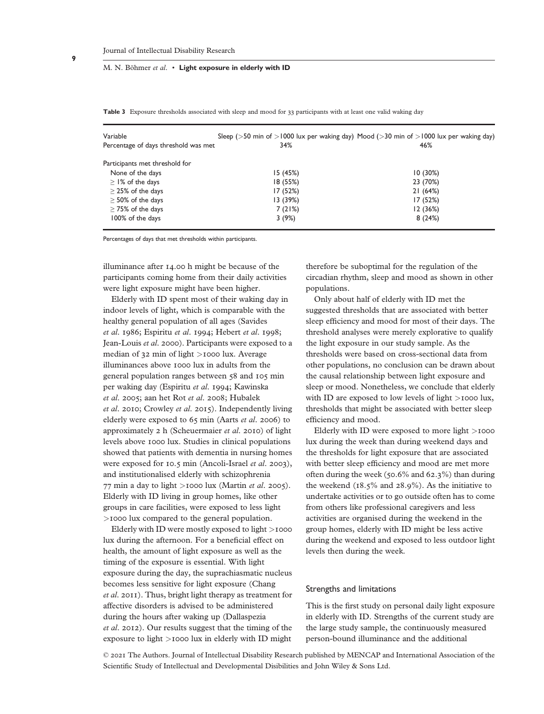|  |  |  | <b>Table 3</b> Exposure thresholds associated with sleep and mood for 33 participants with at least one valid waking day |  |  |
|--|--|--|--------------------------------------------------------------------------------------------------------------------------|--|--|
|--|--|--|--------------------------------------------------------------------------------------------------------------------------|--|--|

| Variable<br>Percentage of days threshold was met | 34%      | Sleep ( $>$ 50 min of $>$ 1000 lux per waking day) Mood ( $>$ 30 min of $>$ 1000 lux per waking day)<br>46% |
|--------------------------------------------------|----------|-------------------------------------------------------------------------------------------------------------|
| Participants met threshold for                   |          |                                                                                                             |
| None of the days                                 | 15(45%)  | 10(30%)                                                                                                     |
| $\geq$ 1% of the days                            | 18 (55%) | 23 (70%)                                                                                                    |
| $\geq$ 25% of the days                           | 17 (52%) | 21(64%)                                                                                                     |
| $\geq$ 50% of the days                           | 13(39%)  | 17 (52%)                                                                                                    |
| $\geq$ 75% of the days                           | 7(21%)   | 12(36%)                                                                                                     |
| 100% of the days                                 | 3(9%)    | 8(24%)                                                                                                      |

Percentages of days that met thresholds within participants.

illuminance after 14.00 h might be because of the participants coming home from their daily activities were light exposure might have been higher.

Elderly with ID spent most of their waking day in indoor levels of light, which is comparable with the healthy general population of all ages (Savides *et al*. 1986; Espiritu *et al*. 1994; Hebert *et al*. 1998; Jean-Louis *et al*. 2000). Participants were exposed to a median of 32 min of light *>*1000 lux. Average illuminances above 1000 lux in adults from the general population ranges between 58 and 105 min per waking day (Espiritu *et al*. 1994; Kawinska *et al*. 2005; aan het Rot *et al*. 2008; Hubalek *et al*. 2010; Crowley *et al*. 2015). Independently living elderly were exposed to 65 min (Aarts *et al*. 2006) to approximately 2 h (Scheuermaier *et al*. 2010) of light levels above 1000 lux. Studies in clinical populations showed that patients with dementia in nursing homes were exposed for 10.5 min (Ancoli-Israel *et al*. 2003), and institutionalised elderly with schizophrenia 77 min a day to light *>*1000 lux (Martin *et al*. 2005). Elderly with ID living in group homes, like other groups in care facilities, were exposed to less light *>*1000 lux compared to the general population.

Elderly with ID were mostly exposed to light *>*1000 lux during the afternoon. For a beneficial effect on health, the amount of light exposure as well as the timing of the exposure is essential. With light exposure during the day, the suprachiasmatic nucleus becomes less sensitive for light exposure (Chang *et al*. 2011). Thus, bright light therapy as treatment for affective disorders is advised to be administered during the hours after waking up (Dallaspezia *et al*. 2012). Our results suggest that the timing of the exposure to light *>*1000 lux in elderly with ID might

therefore be suboptimal for the regulation of the circadian rhythm, sleep and mood as shown in other populations.

Only about half of elderly with ID met the suggested thresholds that are associated with better sleep efficiency and mood for most of their days. The threshold analyses were merely explorative to qualify the light exposure in our study sample. As the thresholds were based on cross-sectional data from other populations, no conclusion can be drawn about the causal relationship between light exposure and sleep or mood. Nonetheless, we conclude that elderly with ID are exposed to low levels of light *>*1000 lux, thresholds that might be associated with better sleep efficiency and mood.

Elderly with ID were exposed to more light *>*1000 lux during the week than during weekend days and the thresholds for light exposure that are associated with better sleep efficiency and mood are met more often during the week (50.6% and 62.3%) than during the weekend  $(18.5\% \text{ and } 28.9\%)$ . As the initiative to undertake activities or to go outside often has to come from others like professional caregivers and less activities are organised during the weekend in the group homes, elderly with ID might be less active during the weekend and exposed to less outdoor light levels then during the week.

## Strengths and limitations

This is the first study on personal daily light exposure in elderly with ID. Strengths of the current study are the large study sample, the continuously measured person-bound illuminance and the additional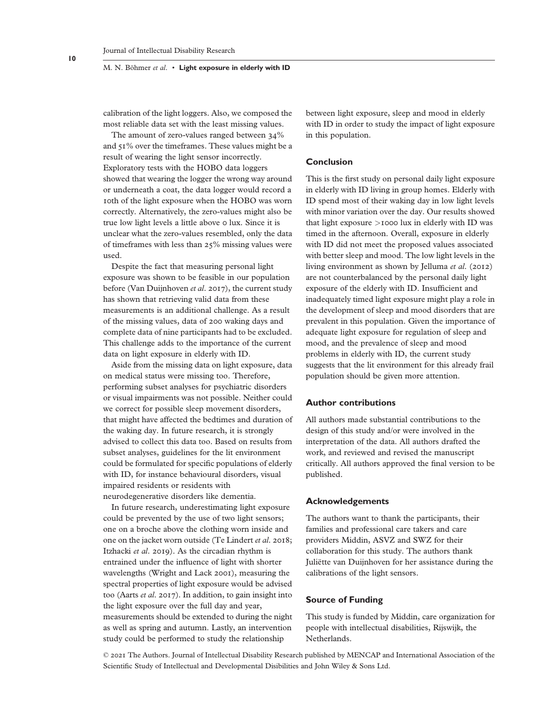calibration of the light loggers. Also, we composed the most reliable data set with the least missing values.

The amount of zero-values ranged between 34% and 51% over the timeframes. These values might be a result of wearing the light sensor incorrectly. Exploratory tests with the HOBO data loggers showed that wearing the logger the wrong way around or underneath a coat, the data logger would record a 10th of the light exposure when the HOBO was worn correctly. Alternatively, the zero-values might also be true low light levels a little above 0 lux. Since it is unclear what the zero-values resembled, only the data of timeframes with less than 25% missing values were used.

Despite the fact that measuring personal light exposure was shown to be feasible in our population before (Van Duijnhoven *et al*. 2017), the current study has shown that retrieving valid data from these measurements is an additional challenge. As a result of the missing values, data of 200 waking days and complete data of nine participants had to be excluded. This challenge adds to the importance of the current data on light exposure in elderly with ID.

Aside from the missing data on light exposure, data on medical status were missing too. Therefore, performing subset analyses for psychiatric disorders or visual impairments was not possible. Neither could we correct for possible sleep movement disorders, that might have affected the bedtimes and duration of the waking day. In future research, it is strongly advised to collect this data too. Based on results from subset analyses, guidelines for the lit environment could be formulated for specific populations of elderly with ID, for instance behavioural disorders, visual impaired residents or residents with neurodegenerative disorders like dementia.

In future research, underestimating light exposure could be prevented by the use of two light sensors; one on a broche above the clothing worn inside and one on the jacket worn outside (Te Lindert *et al*. 2018; Itzhacki *et al*. 2019). As the circadian rhythm is entrained under the influence of light with shorter wavelengths (Wright and Lack 2001), measuring the spectral properties of light exposure would be advised too (Aarts *et al*. 2017). In addition, to gain insight into the light exposure over the full day and year, measurements should be extended to during the night as well as spring and autumn. Lastly, an intervention study could be performed to study the relationship

between light exposure, sleep and mood in elderly with ID in order to study the impact of light exposure in this population.

## **Conclusion**

This is the first study on personal daily light exposure in elderly with ID living in group homes. Elderly with ID spend most of their waking day in low light levels with minor variation over the day. Our results showed that light exposure *>*1000 lux in elderly with ID was timed in the afternoon. Overall, exposure in elderly with ID did not meet the proposed values associated with better sleep and mood. The low light levels in the living environment as shown by Jelluma *et al*. (2012) are not counterbalanced by the personal daily light exposure of the elderly with ID. Insufficient and inadequately timed light exposure might play a role in the development of sleep and mood disorders that are prevalent in this population. Given the importance of adequate light exposure for regulation of sleep and mood, and the prevalence of sleep and mood problems in elderly with ID, the current study suggests that the lit environment for this already frail population should be given more attention.

# **Author contributions**

All authors made substantial contributions to the design of this study and/or were involved in the interpretation of the data. All authors drafted the work, and reviewed and revised the manuscript critically. All authors approved the final version to be published.

#### **Acknowledgements**

The authors want to thank the participants, their families and professional care takers and care providers Middin, ASVZ and SWZ for their collaboration for this study. The authors thank Juliëtte van Duijnhoven for her assistance during the calibrations of the light sensors.

# **Source of Funding**

This study is funded by Middin, care organization for people with intellectual disabilities, Rijswijk, the Netherlands.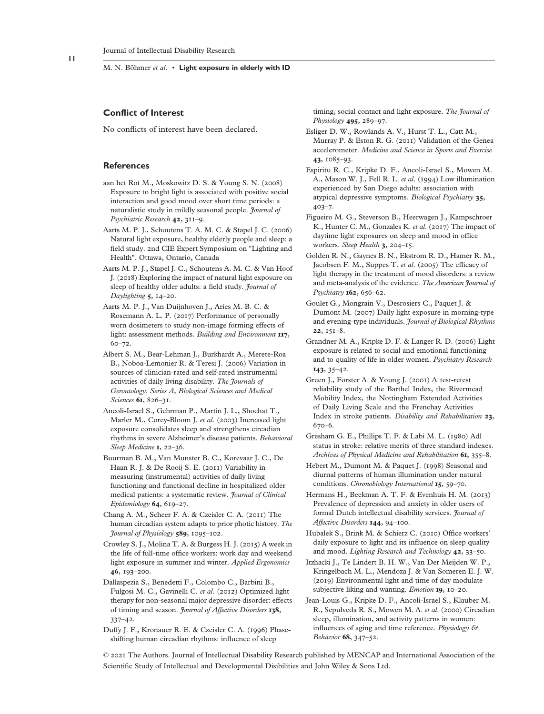## **Conflict of Interest**

No conflicts of interest have been declared.

#### **References**

- aan het Rot M., Moskowitz D. S. & Young S. N. (2008) Exposure to bright light is associated with positive social interaction and good mood over short time periods: a naturalistic study in mildly seasonal people. *Journal of Psychiatric Research* **42**, 311–9.
- Aarts M. P. J., Schoutens T. A. M. C. & Stapel J. C. (2006) Natural light exposure, healthy elderly people and sleep: a field study. 2nd CIE Expert Symposium on "Lighting and Health". Ottawa, Ontario, Canada
- Aarts M. P. J., Stapel J. C., Schoutens A. M. C. & Van Hoof J. (2018) Exploring the impact of natural light exposure on sleep of healthy older adults: a field study. *Journal of Daylighting* **5**, 14–20.
- Aarts M. P. J., Van Duijnhoven J., Aries M. B. C. & Rosemann A. L. P. (2017) Performance of personally worn dosimeters to study non-image forming effects of light: assessment methods. *Building and Environment* **117**, 60–72.
- Albert S. M., Bear-Lehman J., Burkhardt A., Merete-Roa B., Noboa-Lemonier R. & Teresi J. (2006) Variation in sources of clinician-rated and self-rated instrumental activities of daily living disability. *The Journals of Gerontology. Series A, Biological Sciences and Medical Sciences* **61**, 826–31.
- Ancoli-Israel S., Gehrman P., Martin J. L., Shochat T., Marler M., Corey-Bloom J. *et al*. (2003) Increased light exposure consolidates sleep and strengthens circadian rhythms in severe Alzheimer's disease patients. *Behavioral Sleep Medicine* **1**, 22–36.
- Buurman B. M., Van Munster B. C., Korevaar J. C., De Haan R. J. & De Rooij S. E. (2011) Variability in measuring (instrumental) activities of daily living functioning and functional decline in hospitalized older medical patients: a systematic review. *Journal of Clinical Epidemiology* **64**, 619–27.
- Chang A. M., Scheer F. A. & Czeisler C. A. (2011) The human circadian system adapts to prior photic history. *The Journal of Physiology* **589**, 1095–102.
- Crowley S. J., Molina T. A. & Burgess H. J. (2015) A week in the life of full-time office workers: work day and weekend light exposure in summer and winter. *Applied Ergonomics* **46**, 193–200.
- Dallaspezia S., Benedetti F., Colombo C., Barbini B., Fulgosi M. C., Gavinelli C. *et al*. (2012) Optimized light therapy for non-seasonal major depressive disorder: effects of timing and season. *Journal of Affective Disorders* **138**, 337–42.
- Duffy J. F., Kronauer R. E. & Czeisler C. A. (1996) Phaseshifting human circadian rhythms: influence of sleep

timing, social contact and light exposure. *The Journal of Physiology* **495**, 289–97.

- Esliger D. W., Rowlands A. V., Hurst T. L., Catt M., Murray P. & Eston R. G. (2011) Validation of the Genea accelerometer. *Medicine and Science in Sports and Exercise* **43**, 1085–93.
- Espiritu R. C., Kripke D. F., Ancoli-Israel S., Mowen M. A., Mason W. J., Fell R. L. *et al*. (1994) Low illumination experienced by San Diego adults: association with atypical depressive symptoms. *Biological Psychiatry* **35**, 403–7.
- Figueiro M. G., Steverson B., Heerwagen J., Kampschroer K., Hunter C. M., Gonzales K. *et al*. (2017) The impact of daytime light exposures on sleep and mood in office workers. *Sleep Health* **3**, 204–15.
- Golden R. N., Gaynes B. N., Ekstrom R. D., Hamer R. M., Jacobsen F. M., Suppes T. *et al*. (2005) The efficacy of light therapy in the treatment of mood disorders: a review and meta-analysis of the evidence. *The American Journal of Psychiatry* **162**, 656–62.
- Goulet G., Mongrain V., Desrosiers C., Paquet J. & Dumont M. (2007) Daily light exposure in morning-type and evening-type individuals. *Journal of Biological Rhythms* **22**, 151–8.
- Grandner M. A., Kripke D. F. & Langer R. D. (2006) Light exposure is related to social and emotional functioning and to quality of life in older women. *Psychiatry Research* **143**, 35–42.
- Green J., Forster A. & Young J. (2001) A test-retest reliability study of the Barthel Index, the Rivermead Mobility Index, the Nottingham Extended Activities of Daily Living Scale and the Frenchay Activities Index in stroke patients. *Disability and Rehabilitation* **23**, 670–6.
- Gresham G. E., Phillips T. F. & Labi M. L. (1980) Adl status in stroke: relative merits of three standard indexes. *Archives of Physical Medicine and Rehabilitation* **61**, 355–8.
- Hebert M., Dumont M. & Paquet J. (1998) Seasonal and diurnal patterns of human illumination under natural conditions. *Chronobiology International* **15**, 59–70.
- Hermans H., Beekman A. T. F. & Evenhuis H. M. (2013) Prevalence of depression and anxiety in older users of formal Dutch intellectual disability services. *Journal of Affective Disorders* **144**, 94–100.
- Hubalek S., Brink M. & Schierz C. (2010) Office workers' daily exposure to light and its influence on sleep quality and mood. *Lighting Research and Technology* **42**, 33–50.
- Itzhacki J., Te Lindert B. H. W., Van Der Meijden W. P., Kringelbach M. L., Mendoza J. & Van Someren E. J. W. (2019) Environmental light and time of day modulate subjective liking and wanting. *Emotion* **19**, 10–20.
- Jean-Louis G., Kripke D. F., Ancoli-Israel S., Klauber M. R., Sepulveda R. S., Mowen M. A. *et al*. (2000) Circadian sleep, illumination, and activity patterns in women: influences of aging and time reference. *Physiology & Behavior* **68**, 347–52.